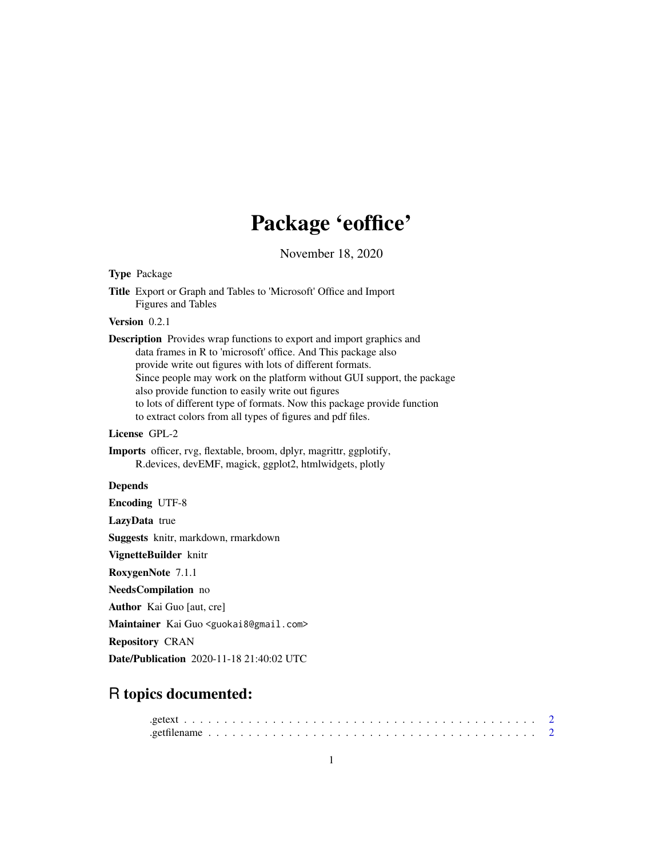## Package 'eoffice'

November 18, 2020

Type Package Title Export or Graph and Tables to 'Microsoft' Office and Import Figures and Tables Version 0.2.1 Description Provides wrap functions to export and import graphics and data frames in R to 'microsoft' office. And This package also provide write out figures with lots of different formats. Since people may work on the platform without GUI support, the package also provide function to easily write out figures to lots of different type of formats. Now this package provide function to extract colors from all types of figures and pdf files. License GPL-2 Imports officer, rvg, flextable, broom, dplyr, magrittr, ggplotify, R.devices, devEMF, magick, ggplot2, htmlwidgets, plotly Depends Encoding UTF-8 LazyData true Suggests knitr, markdown, rmarkdown VignetteBuilder knitr RoxygenNote 7.1.1 NeedsCompilation no

Author Kai Guo [aut, cre]

Maintainer Kai Guo <guokai8@gmail.com>

Repository CRAN

Date/Publication 2020-11-18 21:40:02 UTC

### R topics documented: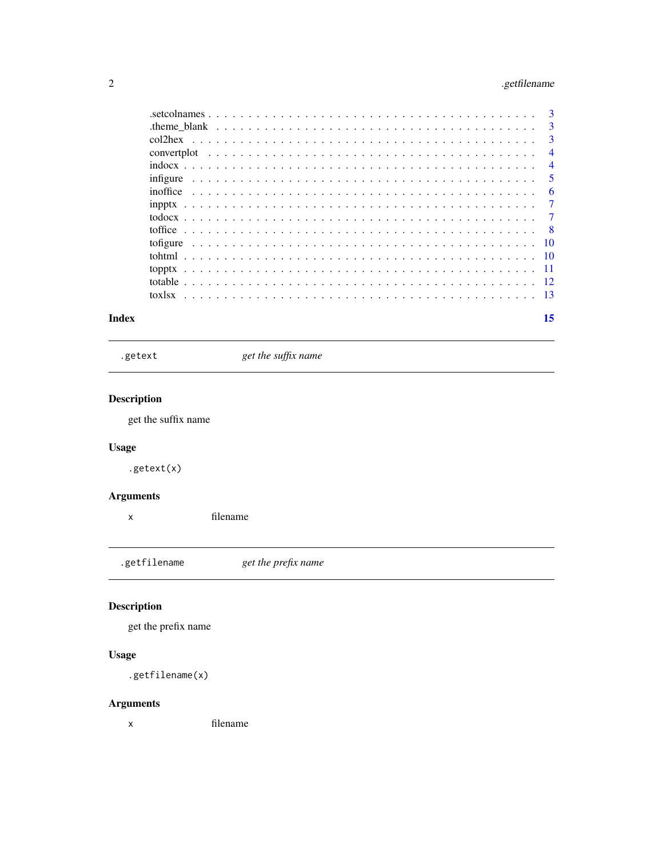#### <span id="page-1-0"></span>2 .getfilename

| Index |  |  | 15 |
|-------|--|--|----|

.getext *get the suffix name*

#### Description

get the suffix name

#### Usage

.getext(x)

#### Arguments

x filename

.getfilename *get the prefix name*

#### Description

get the prefix name

#### Usage

.getfilename(x)

#### Arguments

x filename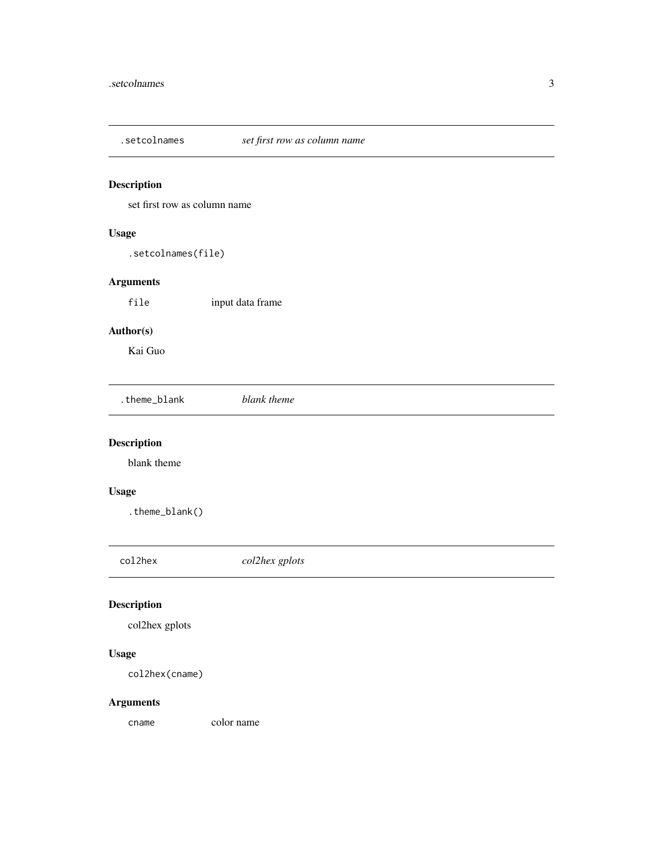<span id="page-2-0"></span>

set first row as column name

#### Usage

.setcolnames(file)

#### Arguments

file input data frame

#### Author(s)

Kai Guo

.theme\_blank *blank theme*

#### Description

blank theme

#### Usage

.theme\_blank()

col2hex *col2hex gplots*

#### Description

col2hex gplots

#### Usage

col2hex(cname)

#### Arguments

cname color name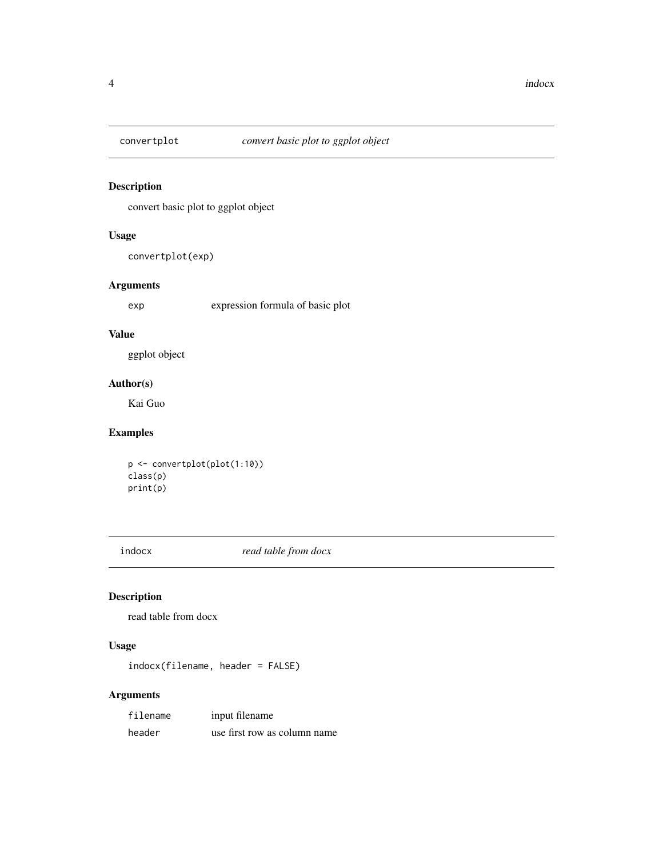<span id="page-3-0"></span>

convert basic plot to ggplot object

#### Usage

convertplot(exp)

#### Arguments

exp expression formula of basic plot

#### Value

ggplot object

#### Author(s)

Kai Guo

#### Examples

```
p <- convertplot(plot(1:10))
class(p)
print(p)
```
indocx *read table from docx*

#### Description

read table from docx

#### Usage

indocx(filename, header = FALSE)

#### Arguments

| filename | input filename               |
|----------|------------------------------|
| header   | use first row as column name |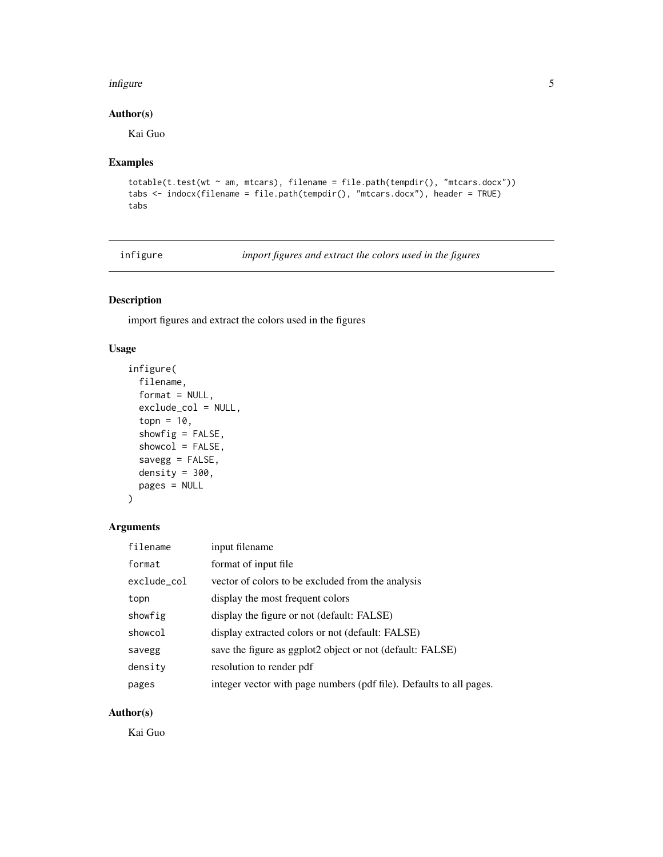#### <span id="page-4-0"></span>infigure 5

#### Author(s)

Kai Guo

#### Examples

```
totable(t.test(wt \sim am, mtcars), filename = file.path(tempdir(), "mtcars.docx"))
tabs <- indocx(filename = file.path(tempdir(), "mtcars.docx"), header = TRUE)
tabs
```
infigure *import figures and extract the colors used in the figures*

#### Description

import figures and extract the colors used in the figures

#### Usage

```
infigure(
  filename,
  format = NULL,exclude_col = NULL,
  topn = 10,
  showfig = FALSE,
  showcol = FALSE,
 savegg = FALSE,
 density = 300,
 pages = NULL
)
```
#### Arguments

| filename    | input filename                                                      |
|-------------|---------------------------------------------------------------------|
| format      | format of input file.                                               |
| exclude_col | vector of colors to be excluded from the analysis                   |
| topn        | display the most frequent colors                                    |
| showfig     | display the figure or not (default: FALSE)                          |
| showcol     | display extracted colors or not (default: FALSE)                    |
| savegg      | save the figure as ggplot2 object or not (default: FALSE)           |
| density     | resolution to render pdf                                            |
| pages       | integer vector with page numbers (pdf file). Defaults to all pages. |

#### Author(s)

Kai Guo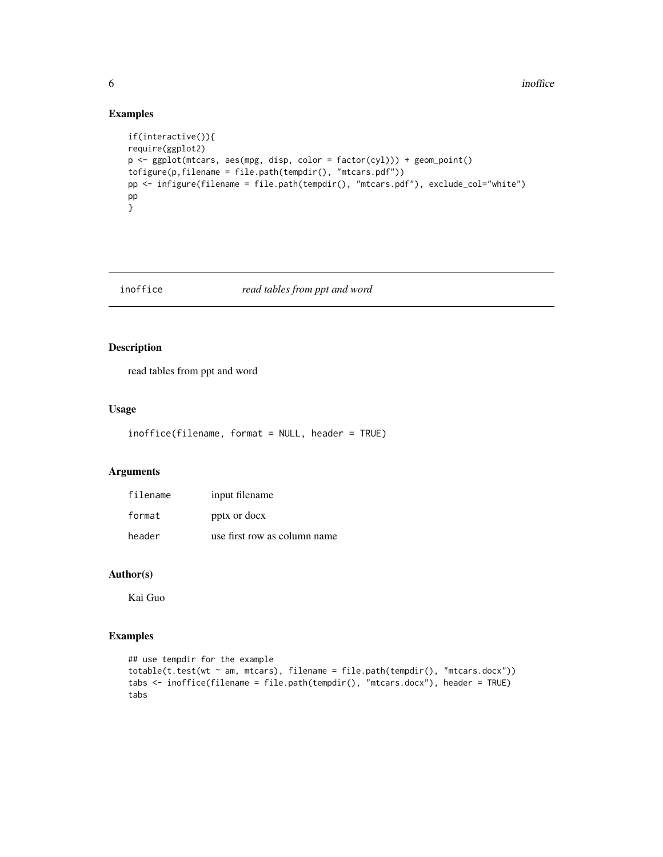#### Examples

```
if(interactive()){
require(ggplot2)
p <- ggplot(mtcars, aes(mpg, disp, color = factor(cyl))) + geom_point()
tofigure(p,filename = file.path(tempdir(), "mtcars.pdf"))
pp <- infigure(filename = file.path(tempdir(), "mtcars.pdf"), exclude_col="white")
pp
}
```
#### inoffice *read tables from ppt and word*

#### Description

read tables from ppt and word

#### Usage

```
inoffice(filename, format = NULL, header = TRUE)
```
#### Arguments

| filename | input filename               |
|----------|------------------------------|
| format   | pptx or docx                 |
| header   | use first row as column name |

#### Author(s)

Kai Guo

#### Examples

```
## use tempdir for the example
totable(t.test(wt ~ am, mtcars), filename = file.path(tempdir(), "mtcars.docx"))
tabs <- inoffice(filename = file.path(tempdir(), "mtcars.docx"), header = TRUE)
tabs
```
<span id="page-5-0"></span>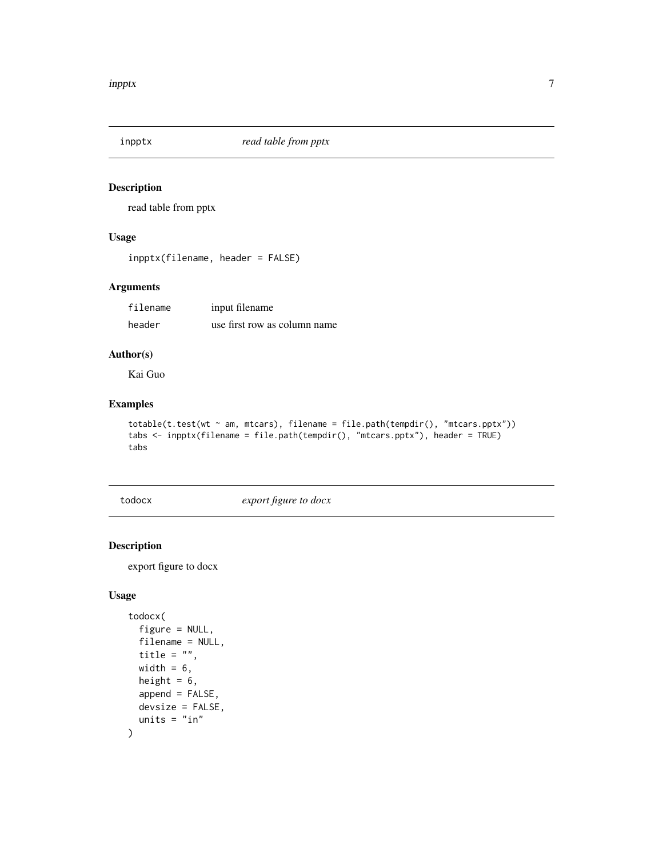<span id="page-6-0"></span>

read table from pptx

#### Usage

inpptx(filename, header = FALSE)

#### Arguments

| filename | input filename               |
|----------|------------------------------|
| header   | use first row as column name |

#### Author(s)

Kai Guo

#### Examples

```
totable(t.test(wt ~ am, mtcars), filename = file.path(tempdir(), "mtcars.pptx"))
tabs <- inpptx(filename = file.path(tempdir(), "mtcars.pptx"), header = TRUE)
tabs
```
todocx *export figure to docx*

#### Description

export figure to docx

```
todocx(
  figure = NULL,
  filename = NULL,
  title = ",
 width = 6,
 height = 6,
  append = FALSE,devsize = FALSE,
  units = "in"\mathcal{E}
```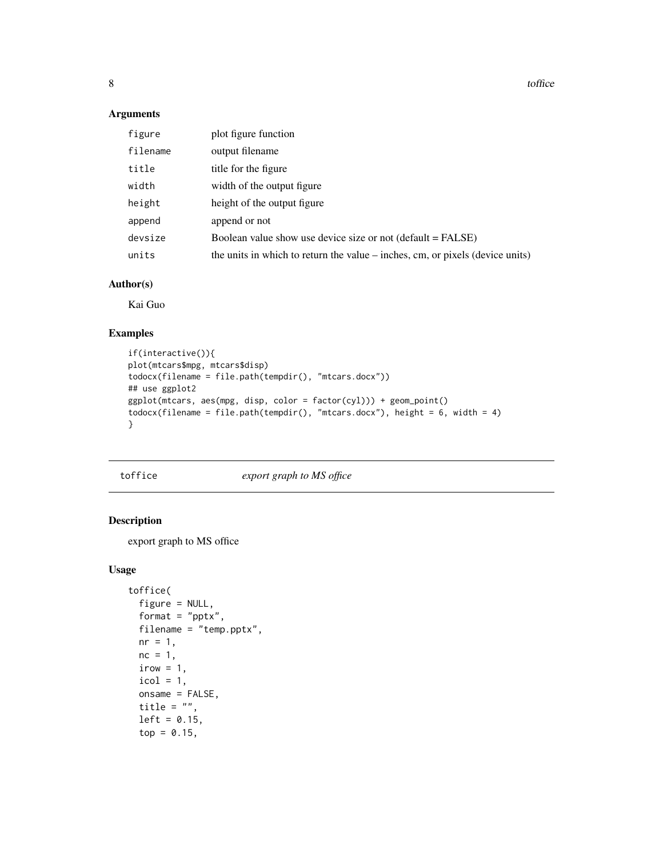<span id="page-7-0"></span>8 toffice the contract of the contract of the contract of the contract of the contract of the contract of the contract of the contract of the contract of the contract of the contract of the contract of the contract of the

#### Arguments

| figure   | plot figure function                                                          |
|----------|-------------------------------------------------------------------------------|
| filename | output filename                                                               |
| title    | title for the figure                                                          |
| width    | width of the output figure                                                    |
| height   | height of the output figure                                                   |
| append   | append or not                                                                 |
| devsize  | Boolean value show use device size or not (default = FALSE)                   |
| units    | the units in which to return the value – inches, cm, or pixels (device units) |

#### Author(s)

Kai Guo

#### Examples

```
if(interactive()){
plot(mtcars$mpg, mtcars$disp)
todocx(filename = file.path(tempdir(), "mtcars.docx"))
## use ggplot2
ggplot(mtcars, aes(mpg, disp, color = factor(cyl))) + geom_point()
todocx(filename = file.path(tempdir(), "mtcars.docx"), height = 6, width = 4)
}
```
toffice *export graph to MS office*

#### Description

export graph to MS office

```
toffice(
  figure = NULL,
  format = "pptx",
 filename = "temp.pptx",
 nr = 1,
 nc = 1,
  irow = 1,
  icol = 1,
  onsame = FALSE,
  title = "",
  left = 0.15,top = 0.15,
```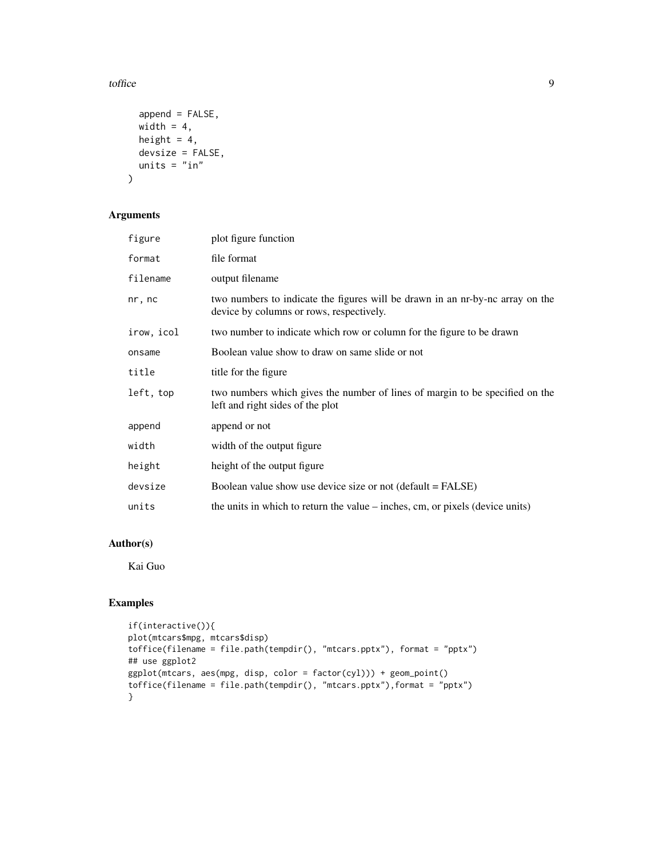toffice the state of the state of the state of the state of the state of the state of the state of the state of the state of the state of the state of the state of the state of the state of the state of the state of the st

```
append = FALSE,width = 4,
 height = 4,
 devsize = FALSE,
 units = "in")
```
#### Arguments

| figure     | plot figure function                                                                                                      |
|------------|---------------------------------------------------------------------------------------------------------------------------|
| format     | file format                                                                                                               |
| filename   | output filename                                                                                                           |
| nr, nc     | two numbers to indicate the figures will be drawn in an nr-by-nc array on the<br>device by columns or rows, respectively. |
| irow, icol | two number to indicate which row or column for the figure to be drawn                                                     |
| onsame     | Boolean value show to draw on same slide or not                                                                           |
| title      | title for the figure                                                                                                      |
| left, top  | two numbers which gives the number of lines of margin to be specified on the<br>left and right sides of the plot          |
| append     | append or not                                                                                                             |
| width      | width of the output figure                                                                                                |
| height     | height of the output figure                                                                                               |
| devsize    | Boolean value show use device size or not (default = FALSE)                                                               |
| units      | the units in which to return the value – inches, cm, or pixels (device units)                                             |

#### Author(s)

Kai Guo

#### Examples

```
if(interactive()){
plot(mtcars$mpg, mtcars$disp)
toffice(filename = file.path(tempdir(), "mtcars.pptx"), format = "pptx")
## use ggplot2
ggplot(mtcars, aes(mpg, disp, color = factor(cyl))) + geom_point()
toffice(filename = file.path(tempdir(), "mtcars.pptx"),format = "pptx")
}
```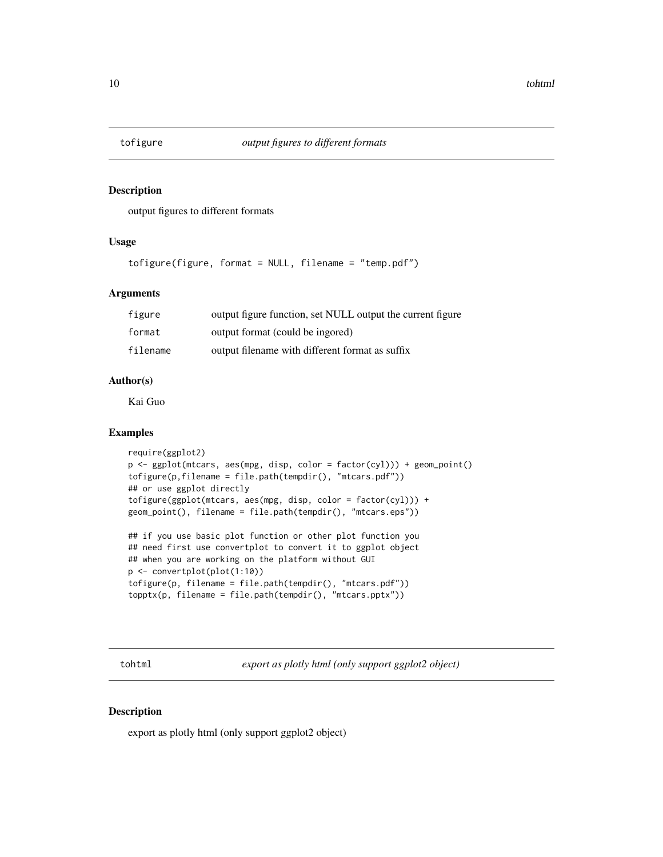<span id="page-9-0"></span>

output figures to different formats

#### Usage

tofigure(figure, format = NULL, filename = "temp.pdf")

#### **Arguments**

| figure   | output figure function, set NULL output the current figure |
|----------|------------------------------------------------------------|
| format   | output format (could be ingored)                           |
| filename | output filename with different format as suffix            |

#### Author(s)

Kai Guo

#### Examples

```
require(ggplot2)
p <- ggplot(mtcars, aes(mpg, disp, color = factor(cyl))) + geom_point()
tofigure(p,filename = file.path(tempdir(), "mtcars.pdf"))
## or use ggplot directly
tofigure(ggplot(mtcars, aes(mpg, disp, color = factor(cyl))) +
geom_point(), filename = file.path(tempdir(), "mtcars.eps"))
```

```
## if you use basic plot function or other plot function you
## need first use convertplot to convert it to ggplot object
## when you are working on the platform without GUI
p <- convertplot(plot(1:10))
tofigure(p, filename = file.path(tempdir(), "mtcars.pdf"))
topptx(p, filename = file.path(tempdir(), "mtcars.pptx"))
```
tohtml *export as plotly html (only support ggplot2 object)*

#### Description

export as plotly html (only support ggplot2 object)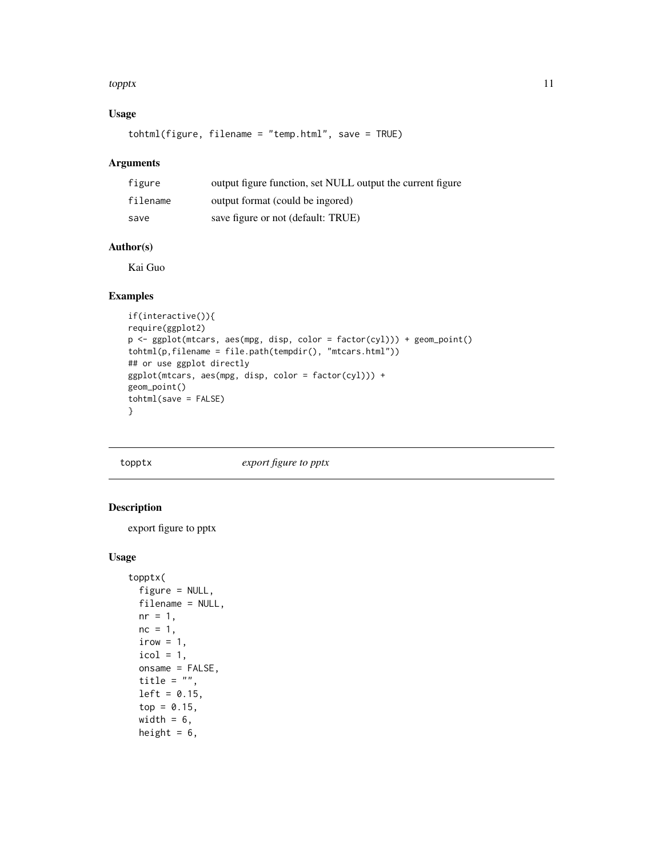#### <span id="page-10-0"></span>topptx that the contract of the contract of the contract of the contract of the contract of the contract of the contract of the contract of the contract of the contract of the contract of the contract of the contract of th

#### Usage

tohtml(figure, filename = "temp.html", save = TRUE)

#### Arguments

| figure   | output figure function, set NULL output the current figure |
|----------|------------------------------------------------------------|
| filename | output format (could be ingored)                           |
| save     | save figure or not (default: TRUE)                         |

#### Author(s)

Kai Guo

#### Examples

```
if(interactive()){
require(ggplot2)
p <- ggplot(mtcars, aes(mpg, disp, color = factor(cyl))) + geom_point()
tohtml(p,filename = file.path(tempdir(), "mtcars.html"))
## or use ggplot directly
ggplot(mtcars, aes(mpg, disp, color = factor(cyl))) +
geom_point()
tohtml(save = FALSE)
}
```
topptx *export figure to pptx*

#### Description

export figure to pptx

```
topptx(
  figure = NULL,filename = NULL,
  nr = 1,
 nc = 1,
  irow = 1,
  icol = 1,
  onsame = FALSE,
  title = ",
  left = 0.15,
  top = 0.15,
  width = 6,
  height = 6,
```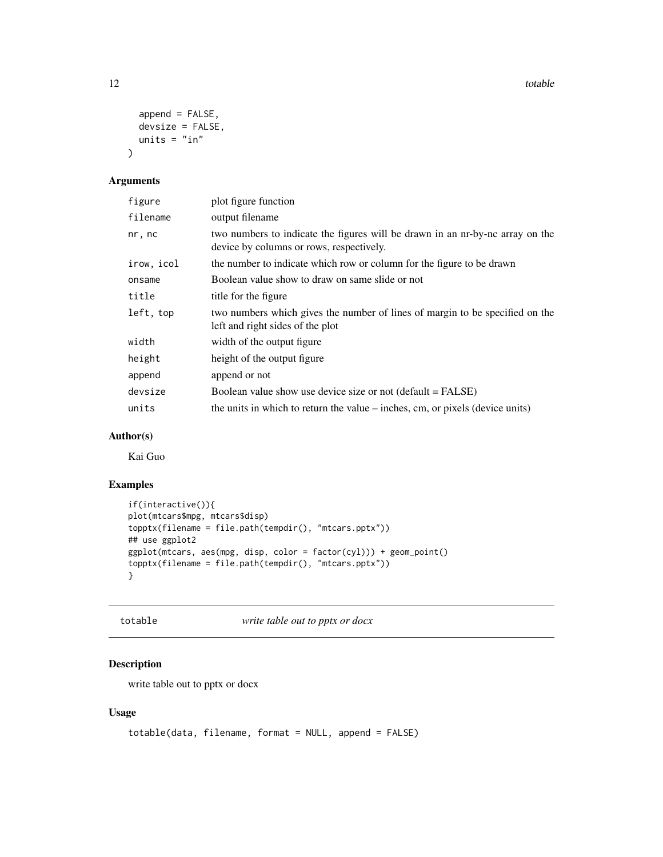<span id="page-11-0"></span>12 totable to the contract of the contract of the contract of the contract of the contract of the contract of the contract of the contract of the contract of the contract of the contract of the contract of the contract of

```
append = FALSE,devsize = FALSE,
  units = "in"\mathcal{L}
```
#### Arguments

| figure     | plot figure function                                                                                                      |
|------------|---------------------------------------------------------------------------------------------------------------------------|
| filename   | output filename                                                                                                           |
| nr, nc     | two numbers to indicate the figures will be drawn in an nr-by-nc array on the<br>device by columns or rows, respectively. |
| irow, icol | the number to indicate which row or column for the figure to be drawn                                                     |
| onsame     | Boolean value show to draw on same slide or not                                                                           |
| title      | title for the figure                                                                                                      |
| left, top  | two numbers which gives the number of lines of margin to be specified on the<br>left and right sides of the plot          |
| width      | width of the output figure                                                                                                |
| height     | height of the output figure                                                                                               |
| append     | append or not                                                                                                             |
| devsize    | Boolean value show use device size or not (default = FALSE)                                                               |
| units      | the units in which to return the value – inches, cm, or pixels (device units)                                             |
|            |                                                                                                                           |

#### Author(s)

Kai Guo

#### Examples

```
if(interactive()){
plot(mtcars$mpg, mtcars$disp)
topptx(filename = file.path(tempdir(), "mtcars.pptx"))
## use ggplot2
ggplot(mtcars, aes(mpg, disp, color = factor(cyl))) + geom_point()
topptx(filename = file.path(tempdir(), "mtcars.pptx"))
}
```
totable *write table out to pptx or docx*

#### Description

write table out to pptx or docx

```
totable(data, filename, format = NULL, append = FALSE)
```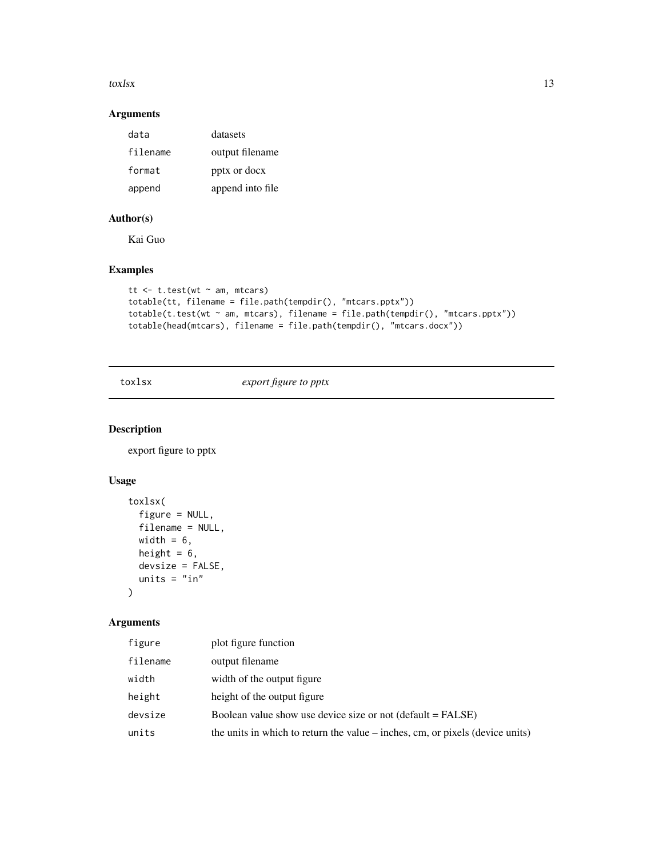#### <span id="page-12-0"></span> $\text{tox}$  to the set of the set of the set of the set of the set of the set of the set of the set of the set of the set of the set of the set of the set of the set of the set of the set of the set of the set of the set of

#### Arguments

| data     | datasets         |
|----------|------------------|
| filename | output filename  |
| format   | pptx or docx     |
| append   | append into file |

#### Author(s)

Kai Guo

#### Examples

```
tt <- t.test(wt ~ am, mtcars)
totable(tt, filename = file.path(tempdir(), "mtcars.pptx"))
totable(t.test(wt ~ am, mtcars), filename = file.path(tempdir(), "mtcars.pptx"))
totable(head(mtcars), filename = file.path(tempdir(), "mtcars.docx"))
```
toxlsx *export figure to pptx*

#### Description

export figure to pptx

#### Usage

```
toxlsx(
  figure = NULL,
  filename = NULL,
  width = 6,
  height = 6,
  devsize = FALSE,
  units = "in"\mathcal{L}
```
#### Arguments

| figure   | plot figure function                                                          |
|----------|-------------------------------------------------------------------------------|
| filename | output filename                                                               |
| width    | width of the output figure                                                    |
| height   | height of the output figure                                                   |
| devsize  | Boolean value show use device size or not (default = FALSE)                   |
| units    | the units in which to return the value – inches, cm, or pixels (device units) |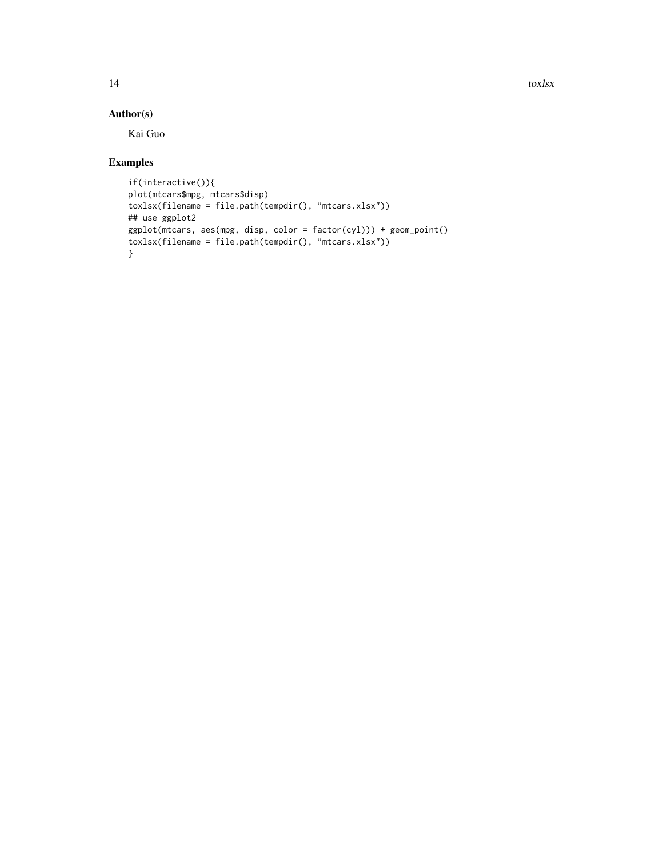14 toxlsx

#### Author(s)

Kai Guo

#### Examples

```
if(interactive()){
plot(mtcars$mpg, mtcars$disp)
toxlsx(filename = file.path(tempdir(), "mtcars.xlsx"))
## use ggplot2
ggplot(mtcars, aes(mpg, disp, color = factor(cyl))) + geom_point()
toxlsx(filename = file.path(tempdir(), "mtcars.xlsx"))
}
```